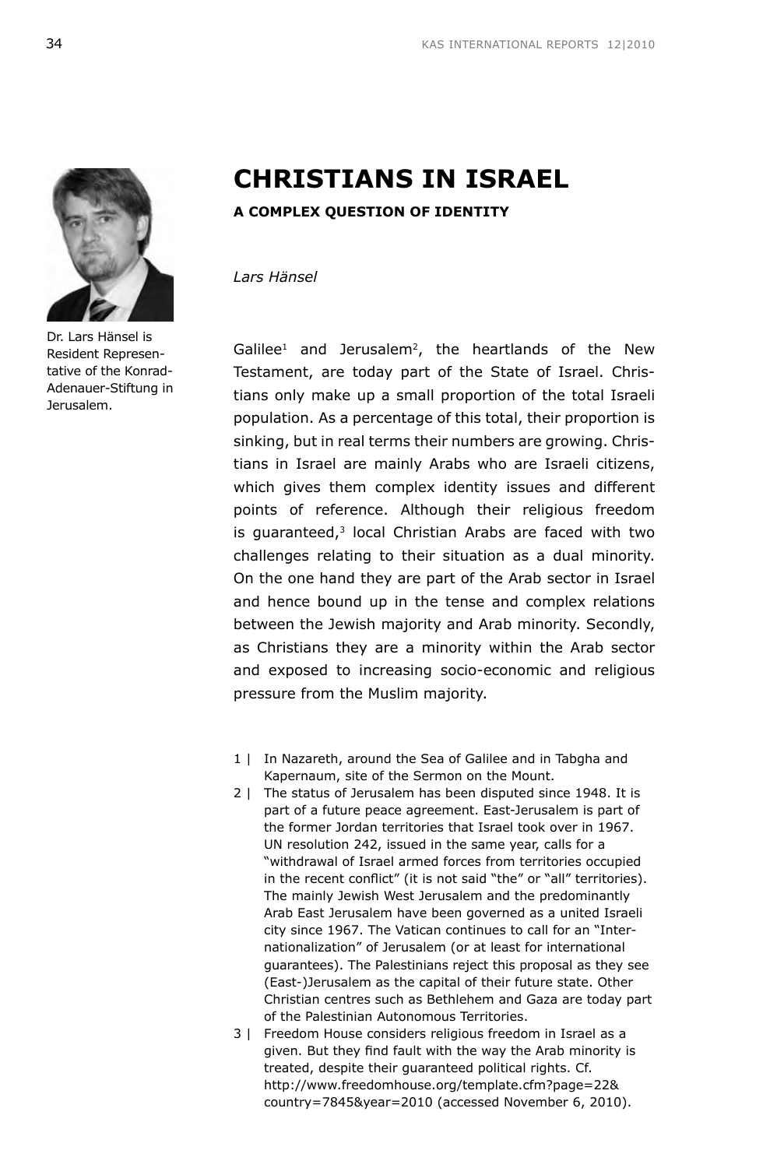

Dr. Lars Hänsel is Resident Representative of the Konrad-Adenauer-Stiftung in Jerusalem.

# **CHRISTIANS IN ISRAEL**

# **A COMPLEX QUESTION OF IDENTITY**

*Lars Hänsel*

 $Galilee<sup>1</sup>$  and Jerusalem<sup>2</sup>, the heartlands of the New Testament, are today part of the State of Israel. Christians only make up a small proportion of the total Israeli population. As a percentage of this total, their proportion is sinking, but in real terms their numbers are growing. Christians in Israel are mainly Arabs who are Israeli citizens, which gives them complex identity issues and different points of reference. Although their religious freedom is guaranteed,<sup>3</sup> local Christian Arabs are faced with two challenges relating to their situation as a dual minority. On the one hand they are part of the Arab sector in Israel and hence bound up in the tense and complex relations between the Jewish majority and Arab minority. Secondly, as Christians they are a minority within the Arab sector and exposed to increasing socio-economic and religious pressure from the Muslim majority.

- 1 | In Nazareth, around the Sea of Galilee and in Tabgha and Kapernaum, site of the Sermon on the Mount.
- 2 | The status of Jerusalem has been disputed since 1948. It is part of a future peace agreement. East-Jerusalem is part of the former Jordan territories that Israel took over in 1967. UN resolution 242, issued in the same year, calls for a "withdrawal of Israel armed forces from territories occupied in the recent conflict" (it is not said "the" or "all" territories). The mainly Jewish West Jerusalem and the predominantly Arab East Jerusalem have been governed as a united Israeli city since 1967. The Vatican continues to call for an "Internationalization" of Jerusalem (or at least for international guarantees). The Palestinians reject this proposal as they see (East-)Jerusalem as the capital of their future state. Other Christian centres such as Bethlehem and Gaza are today part of the Palestinian Autonomous Territories.
- 3 | Freedom House considers religious freedom in Israel as a given. But they find fault with the way the Arab minority is treated, despite their guaranteed political rights. Cf. http://www.freedomhouse.org/template.cfm?page=22& country=7845&year=2010 (accessed November 6, 2010).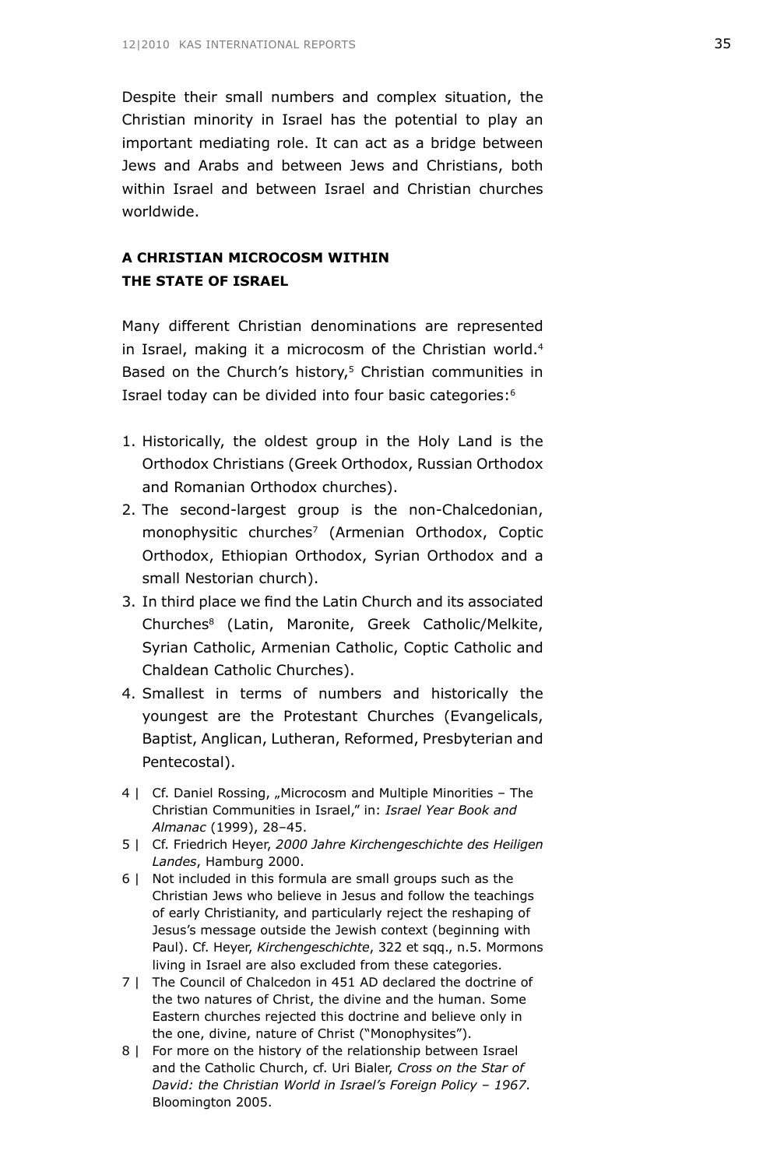Despite their small numbers and complex situation, the Christian minority in Israel has the potential to play an important mediating role. It can act as a bridge between Jews and Arabs and between Jews and Christians, both within Israel and between Israel and Christian churches worldwide.

# **A CHRISTIAN MICROCOSM WITHIN THE STATE OF ISRAEL**

Many different Christian denominations are represented in Israel, making it a microcosm of the Christian world.<sup>4</sup> Based on the Church's history,<sup>5</sup> Christian communities in Israel today can be divided into four basic categories:6

- 1. Historically, the oldest group in the Holy Land is the Orthodox Christians (Greek Orthodox, Russian Orthodox and Romanian Orthodox churches).
- 2. The second-largest group is the non-Chalcedonian, monophysitic churches<sup>7</sup> (Armenian Orthodox, Coptic Orthodox, Ethiopian Orthodox, Syrian Orthodox and a small Nestorian church).
- 3. In third place we find the Latin Church and its associated Churches8 (Latin, Maronite, Greek Catholic/Melkite, Syrian Catholic, Armenian Catholic, Coptic Catholic and Chaldean Catholic Churches).
- 4. Smallest in terms of numbers and historically the youngest are the Protestant Churches (Evangelicals, Baptist, Anglican, Lutheran, Reformed, Presbyterian and Pentecostal).
- 4 | Cf. Daniel Rossing, "Microcosm and Multiple Minorities The Christian Communities in Israel," in: *Israel Year Book and Almanac* (1999), 28–45.
- 5 | Cf. Friedrich Heyer, *2000 Jahre Kirchengeschichte des Heiligen Landes*, Hamburg 2000.
- 6 | Not included in this formula are small groups such as the Christian Jews who believe in Jesus and follow the teachings of early Christianity, and particularly reject the reshaping of Jesus's message outside the Jewish context (beginning with Paul). Cf. Heyer, *Kirchengeschichte*, 322 et sqq., n.5. Mormons living in Israel are also excluded from these categories.
- 7 | The Council of Chalcedon in 451 AD declared the doctrine of the two natures of Christ, the divine and the human. Some Eastern churches rejected this doctrine and believe only in the one, divine, nature of Christ ("Monophysites").
- 8 | For more on the history of the relationship between Israel and the Catholic Church, cf. Uri Bialer, *Cross on the Star of David: the Christian World in Israel's Foreign Policy – 1967*. Bloomington 2005.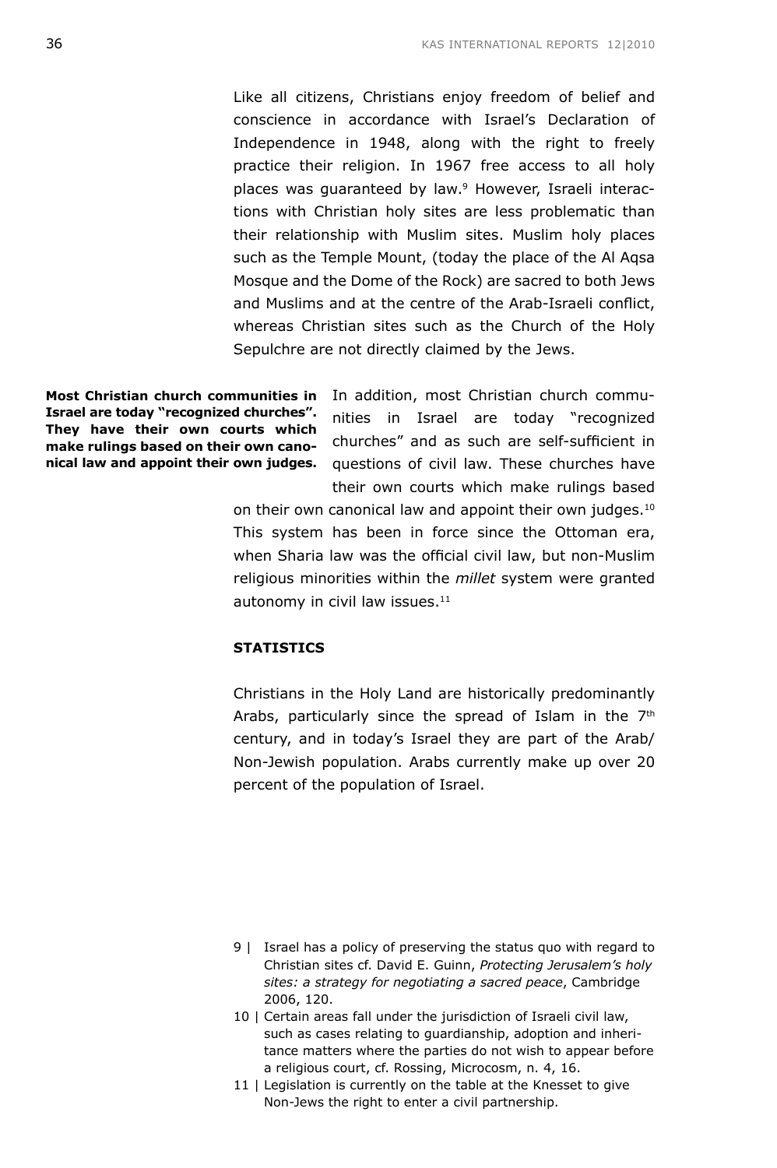Like all citizens, Christians enjoy freedom of belief and conscience in accordance with Israel's Declaration of Independence in 1948, along with the right to freely practice their religion. In 1967 free access to all holy places was quaranteed by law.<sup>9</sup> However, Israeli interactions with Christian holy sites are less problematic than their relationship with Muslim sites. Muslim holy places such as the Temple Mount, (today the place of the Al Aqsa Mosque and the Dome of the Rock) are sacred to both Jews and Muslims and at the centre of the Arab-Israeli conflict, whereas Christian sites such as the Church of the Holy Sepulchre are not directly claimed by the Jews.

**Israel are today "recognized churches". They have their own courts which make rulings based on their own canonical law and appoint their own judges.**

**Most Christian church communities in**  In addition, most Christian church communities in Israel are today "recognized churches" and as such are self-sufficient in questions of civil law. These churches have their own courts which make rulings based

> on their own canonical law and appoint their own judges.<sup>10</sup> This system has been in force since the Ottoman era, when Sharia law was the official civil law, but non-Muslim religious minorities within the *millet* system were granted autonomy in civil law issues.<sup>11</sup>

# **STATISTICS**

Christians in the Holy Land are historically predominantly Arabs, particularly since the spread of Islam in the  $7<sup>th</sup>$ century, and in today's Israel they are part of the Arab/ Non-Jewish population. Arabs currently make up over 20 percent of the population of Israel.

- 9 | Israel has a policy of preserving the status quo with regard to Christian sites cf. David E. Guinn, *Protecting Jerusalem's holy sites: a strategy for negotiating a sacred peace*, Cambridge 2006, 120.
- 10 | Certain areas fall under the jurisdiction of Israeli civil law, such as cases relating to guardianship, adoption and inheritance matters where the parties do not wish to appear before a religious court, cf. Rossing, Microcosm, n. 4, 16.
- 11 | Legislation is currently on the table at the Knesset to give Non-Jews the right to enter a civil partnership.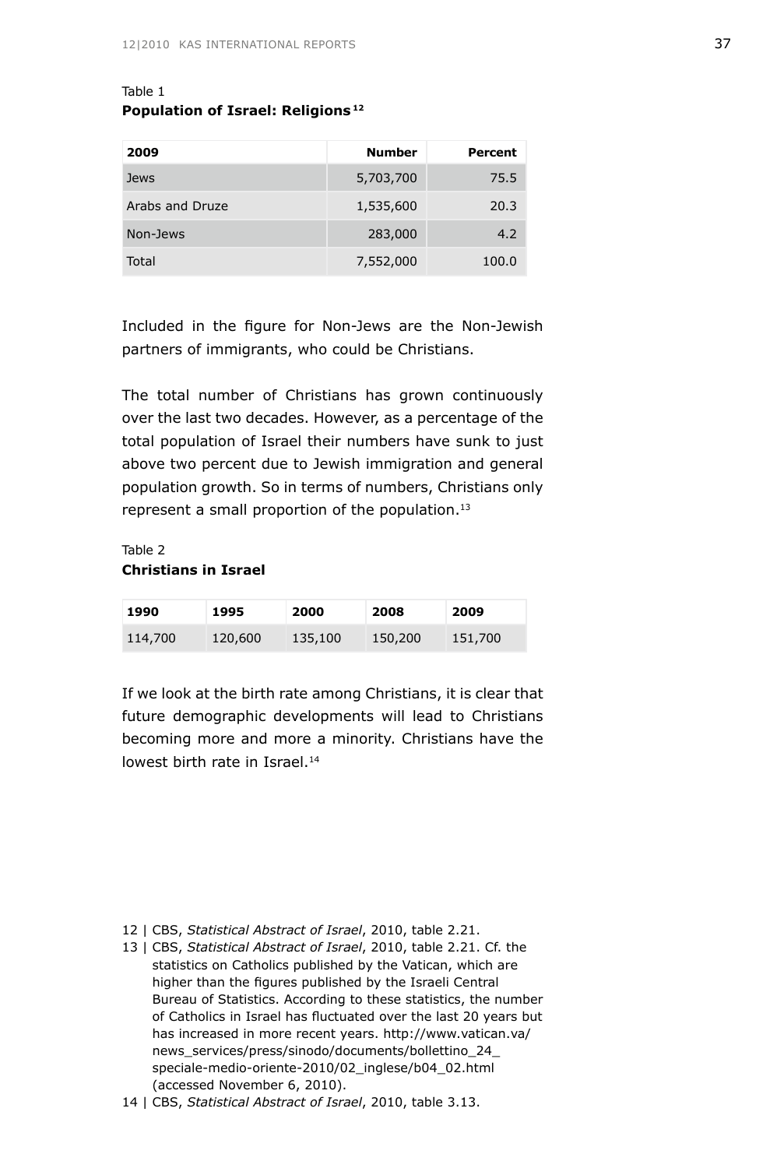# Table 1 **Population of Israel: Religions 12**

| 2009            | <b>Number</b> | Percent |
|-----------------|---------------|---------|
| Jews            | 5,703,700     | 75.5    |
| Arabs and Druze | 1,535,600     | 20.3    |
| Non-Jews        | 283,000       | 4.2     |
| Total           | 7,552,000     | 100.0   |

Included in the figure for Non-Jews are the Non-Jewish partners of immigrants, who could be Christians.

The total number of Christians has grown continuously over the last two decades. However, as a percentage of the total population of Israel their numbers have sunk to just above two percent due to Jewish immigration and general population growth. So in terms of numbers, Christians only represent a small proportion of the population.<sup>13</sup>

# Table 2 **Christians in Israel**

| 1990    | 1995    | 2000    | 2008    | 2009    |
|---------|---------|---------|---------|---------|
| 114,700 | 120,600 | 135,100 | 150,200 | 151,700 |

If we look at the birth rate among Christians, it is clear that future demographic developments will lead to Christians becoming more and more a minority. Christians have the lowest birth rate in Israel.<sup>14</sup>

- 12 | CBS, *Statistical Abstract of Israel*, 2010, table 2.21.
- 13 | CBS, *Statistical Abstract of Israel*, 2010, table 2.21. Cf. the statistics on Catholics published by the Vatican, which are higher than the figures published by the Israeli Central Bureau of Statistics. According to these statistics, the number of Catholics in Israel has fluctuated over the last 20 years but has increased in more recent years. http://www.vatican.va/ news\_services/press/sinodo/documents/bollettino\_24\_ speciale-medio-oriente-2010/02\_inglese/b04\_02.html (accessed November 6, 2010).

<sup>14 |</sup> CBS, *Statistical Abstract of Israel*, 2010, table 3.13.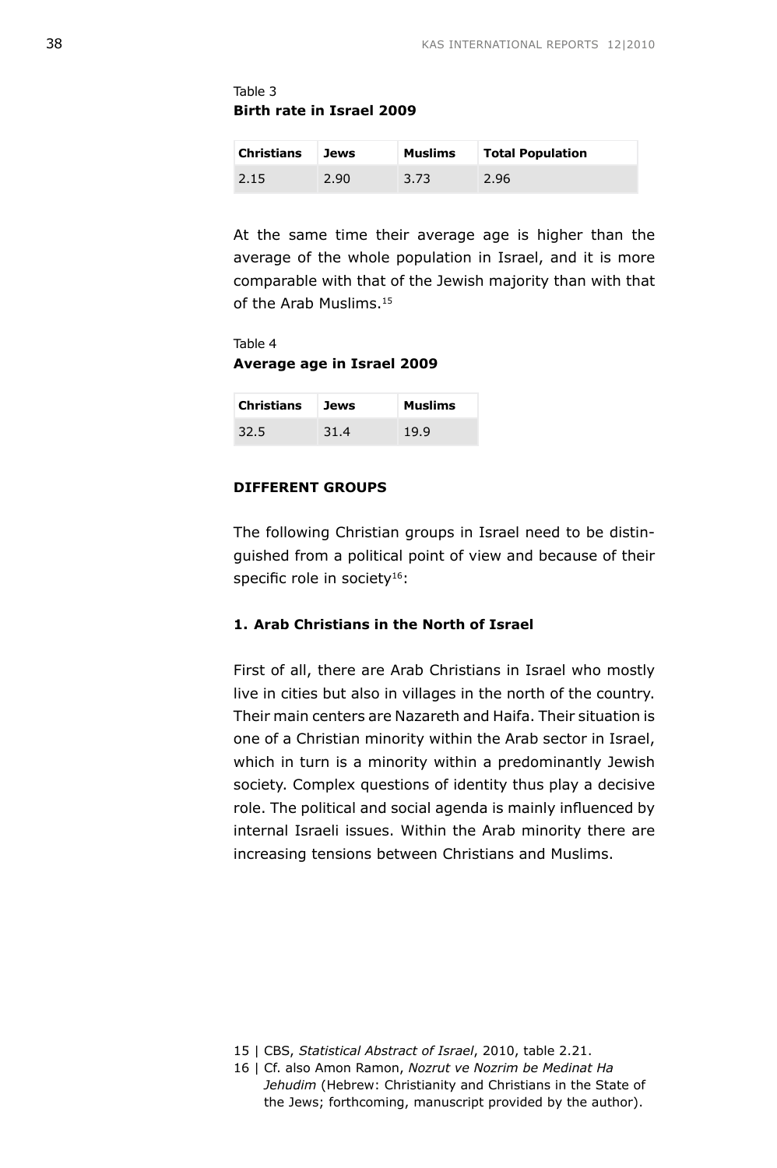Table 3 **Birth rate in Israel 2009**

| <b>Christians</b> | Jews | <b>Muslims</b> | <b>Total Population</b> |
|-------------------|------|----------------|-------------------------|
| 2.15              | 2.90 | 3.73           | 2.96                    |

At the same time their average age is higher than the average of the whole population in Israel, and it is more comparable with that of the Jewish majority than with that of the Arab Muslims.<sup>15</sup>

Table 4 **Average age in Israel 2009**

| <b>Christians</b> | <b>Jews</b> | <b>Muslims</b> |
|-------------------|-------------|----------------|
| 32.5              | 31.4        | 19.9           |

# **DIFFERENT GROUPS**

The following Christian groups in Israel need to be distinguished from a political point of view and because of their specific role in society<sup>16</sup>:

# **1. Arab Christians in the North of Israel**

First of all, there are Arab Christians in Israel who mostly live in cities but also in villages in the north of the country. Their main centers are Nazareth and Haifa. Their situation is one of a Christian minority within the Arab sector in Israel, which in turn is a minority within a predominantly Jewish society. Complex questions of identity thus play a decisive role. The political and social agenda is mainly influenced by internal Israeli issues. Within the Arab minority there are increasing tensions between Christians and Muslims.

<sup>15 |</sup> CBS, *Statistical Abstract of Israel*, 2010, table 2.21.

<sup>16 |</sup> Cf. also Amon Ramon, *Nozrut ve Nozrim be Medinat Ha Jehudim* (Hebrew: Christianity and Christians in the State of the Jews; forthcoming, manuscript provided by the author).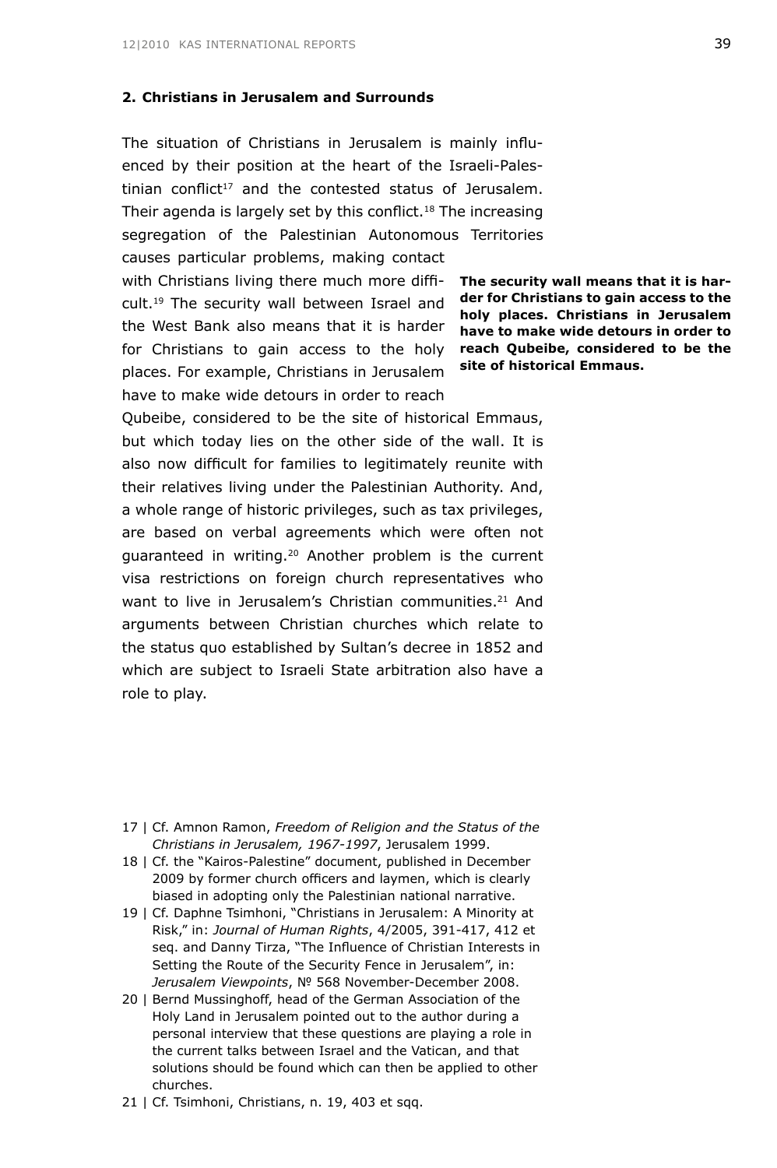# **2. Christians in Jerusalem and Surrounds**

The situation of Christians in Jerusalem is mainly influenced by their position at the heart of the Israeli-Palestinian conflict<sup>17</sup> and the contested status of Jerusalem. Their agenda is largely set by this conflict.<sup>18</sup> The increasing segregation of the Palestinian Autonomous Territories causes particular problems, making contact

with Christians living there much more diffi- **The security wall means that it is har**for Christians to gain access to the holy reach Qubeibe, considered to be the cult.19 The security wall between Israel and the West Bank also means that it is harder places. For example, Christians in Jerusalem have to make wide detours in order to reach

**der for Christians to gain access to the holy places. Christians in Jerusalem have to make wide detours in order to site of historical Emmaus.**

Qubeibe, considered to be the site of historical Emmaus, but which today lies on the other side of the wall. It is also now difficult for families to legitimately reunite with their relatives living under the Palestinian Authority. And, a whole range of historic privileges, such as tax privileges, are based on verbal agreements which were often not guaranteed in writing.20 Another problem is the current visa restrictions on foreign church representatives who want to live in Jerusalem's Christian communities.<sup>21</sup> And arguments between Christian churches which relate to the status quo established by Sultan's decree in 1852 and which are subject to Israeli State arbitration also have a role to play.

- 17 | Cf. Amnon Ramon, *Freedom of Religion and the Status of the Christians in Jerusalem, 1967-1997*, Jerusalem 1999.
- 18 | Cf. the "Kairos-Palestine" document, published in December 2009 by former church officers and laymen, which is clearly biased in adopting only the Palestinian national narrative.
- 19 | Cf. Daphne Tsimhoni, "Christians in Jerusalem: A Minority at Risk," in: *Journal of Human Rights*, 4/2005, 391-417, 412 et seq. and Danny Tirza, "The Influence of Christian Interests in Setting the Route of the Security Fence in Jerusalem", in: *Jerusalem Viewpoints*, № 568 November-December 2008.
- 20 | Bernd Mussinghoff, head of the German Association of the Holy Land in Jerusalem pointed out to the author during a personal interview that these questions are playing a role in the current talks between Israel and the Vatican, and that solutions should be found which can then be applied to other churches.
- 21 | Cf. Tsimhoni, Christians, n. 19, 403 et sqq.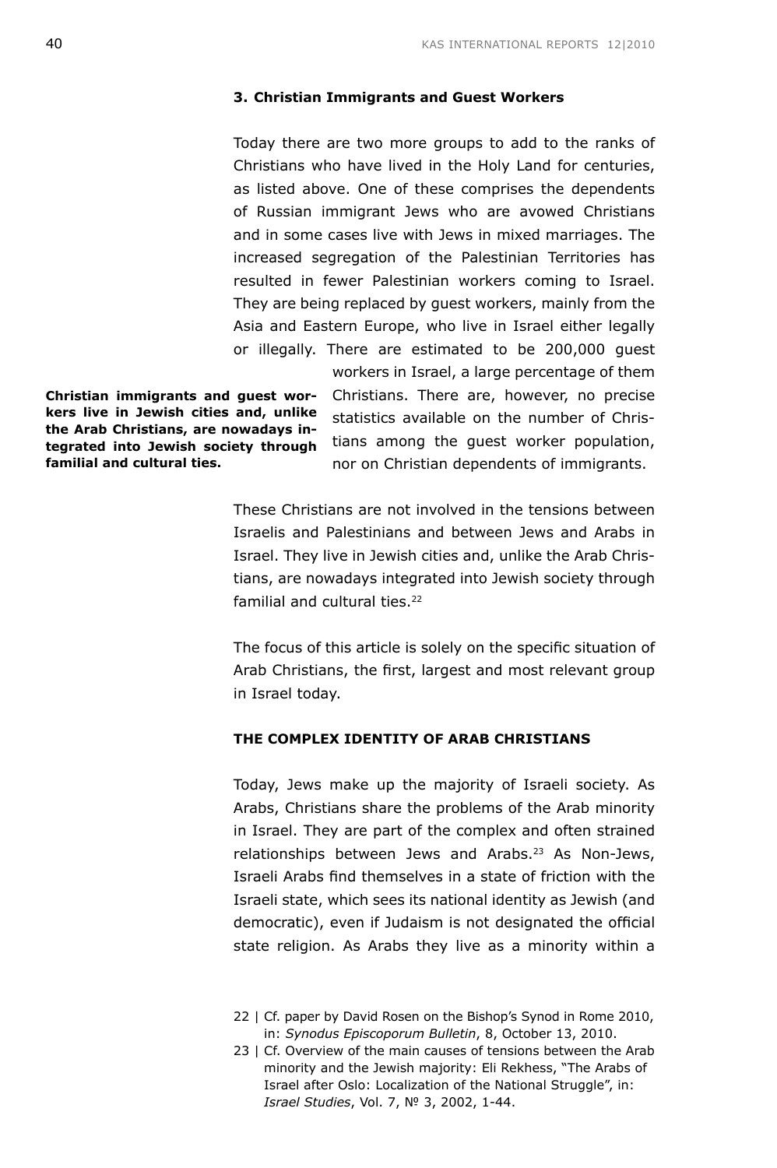#### **3. Christian Immigrants and Guest Workers**

Today there are two more groups to add to the ranks of Christians who have lived in the Holy Land for centuries, as listed above. One of these comprises the dependents of Russian immigrant Jews who are avowed Christians and in some cases live with Jews in mixed marriages. The increased segregation of the Palestinian Territories has resulted in fewer Palestinian workers coming to Israel. They are being replaced by guest workers, mainly from the Asia and Eastern Europe, who live in Israel either legally or illegally. There are estimated to be 200,000 guest

**Christian immigrants and guest workers live in Jewish cities and, unlike the Arab Christians, are nowadays integrated into Jewish society through familial and cultural ties.**

workers in Israel, a large percentage of them Christians. There are, however, no precise statistics available on the number of Christians among the guest worker population, nor on Christian dependents of immigrants.

These Christians are not involved in the tensions between Israelis and Palestinians and between Jews and Arabs in Israel. They live in Jewish cities and, unlike the Arab Christians, are nowadays integrated into Jewish society through familial and cultural ties.<sup>22</sup>

The focus of this article is solely on the specific situation of Arab Christians, the first, largest and most relevant group in Israel today.

# **THE COMPLEX IDENTITY OF ARAB CHRISTIANS**

Today, Jews make up the majority of Israeli society. As Arabs, Christians share the problems of the Arab minority in Israel. They are part of the complex and often strained relationships between Jews and Arabs.23 As Non-Jews, Israeli Arabs find themselves in a state of friction with the Israeli state, which sees its national identity as Jewish (and democratic), even if Judaism is not designated the official state religion. As Arabs they live as a minority within a

<sup>22 |</sup> Cf. paper by David Rosen on the Bishop's Synod in Rome 2010, in: *Synodus Episcoporum Bulletin*, 8, October 13, 2010.

<sup>23 |</sup> Cf. Overview of the main causes of tensions between the Arab minority and the Jewish majority: Eli Rekhess, "The Arabs of Israel after Oslo: Localization of the National Struggle", in: *Israel Studies*, Vol. 7, № 3, 2002, 1-44.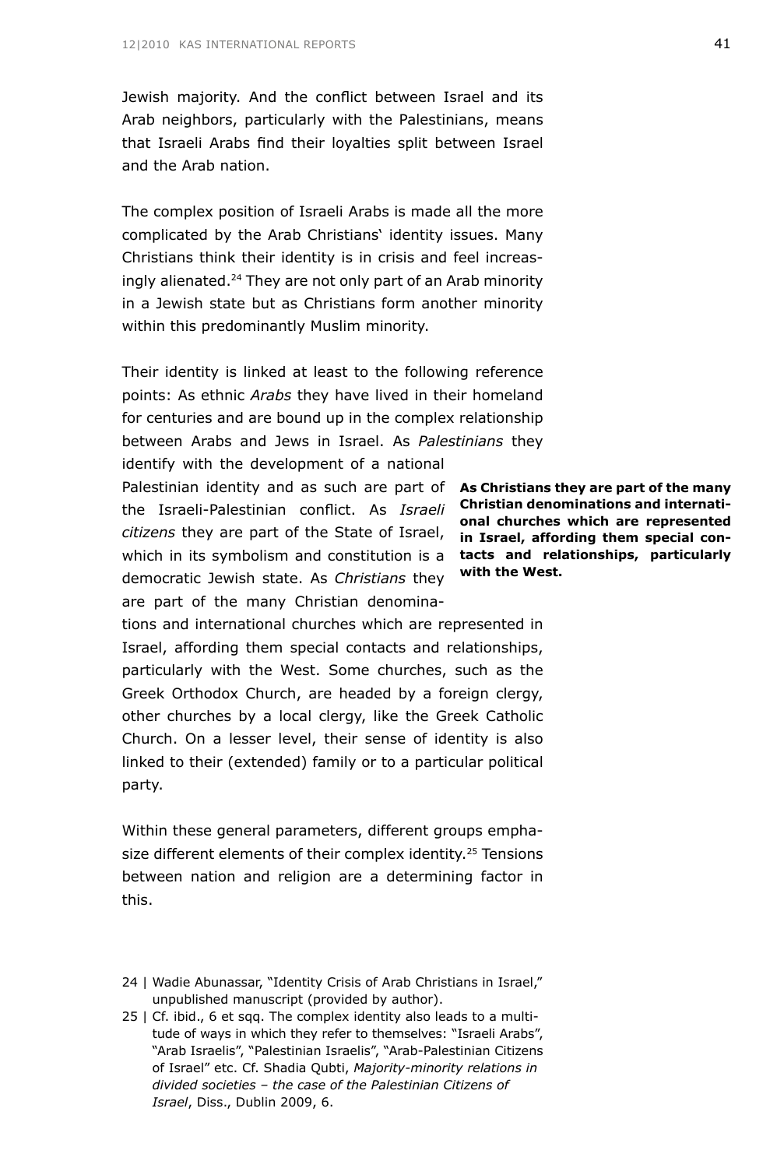Jewish majority. And the conflict between Israel and its Arab neighbors, particularly with the Palestinians, means that Israeli Arabs find their loyalties split between Israel and the Arab nation.

The complex position of Israeli Arabs is made all the more complicated by the Arab Christians' identity issues. Many Christians think their identity is in crisis and feel increasingly alienated.<sup>24</sup> They are not only part of an Arab minority in a Jewish state but as Christians form another minority within this predominantly Muslim minority.

Their identity is linked at least to the following reference points: As ethnic *Arabs* they have lived in their homeland for centuries and are bound up in the complex relationship between Arabs and Jews in Israel. As *Palestinians* they

Palestinian identity and as such are part of As Christians they are part of the many citizens they are part of the State of Israel, **in Israel, affording them special con**which in its symbolism and constitution is a **tacts and relationships, particularly** identify with the development of a national the Israeli-Palestinian conflict. As *Israeli*  democratic Jewish state. As *Christians* they are part of the many Christian denomina-

**Christian denominations and international churches which are represented with the West.**

tions and international churches which are represented in Israel, affording them special contacts and relationships, particularly with the West. Some churches, such as the Greek Orthodox Church, are headed by a foreign clergy, other churches by a local clergy, like the Greek Catholic Church. On a lesser level, their sense of identity is also linked to their (extended) family or to a particular political party.

Within these general parameters, different groups emphasize different elements of their complex identity.<sup>25</sup> Tensions between nation and religion are a determining factor in this.

25 | Cf. ibid., 6 et sqq. The complex identity also leads to a multitude of ways in which they refer to themselves: "Israeli Arabs", "Arab Israelis", "Palestinian Israelis", "Arab-Palestinian Citizens of Israel" etc. Cf. Shadia Qubti, *Majority-minority relations in divided societies – the case of the Palestinian Citizens of Israel*, Diss., Dublin 2009, 6.

<sup>24 |</sup> Wadie Abunassar, "Identity Crisis of Arab Christians in Israel," unpublished manuscript (provided by author).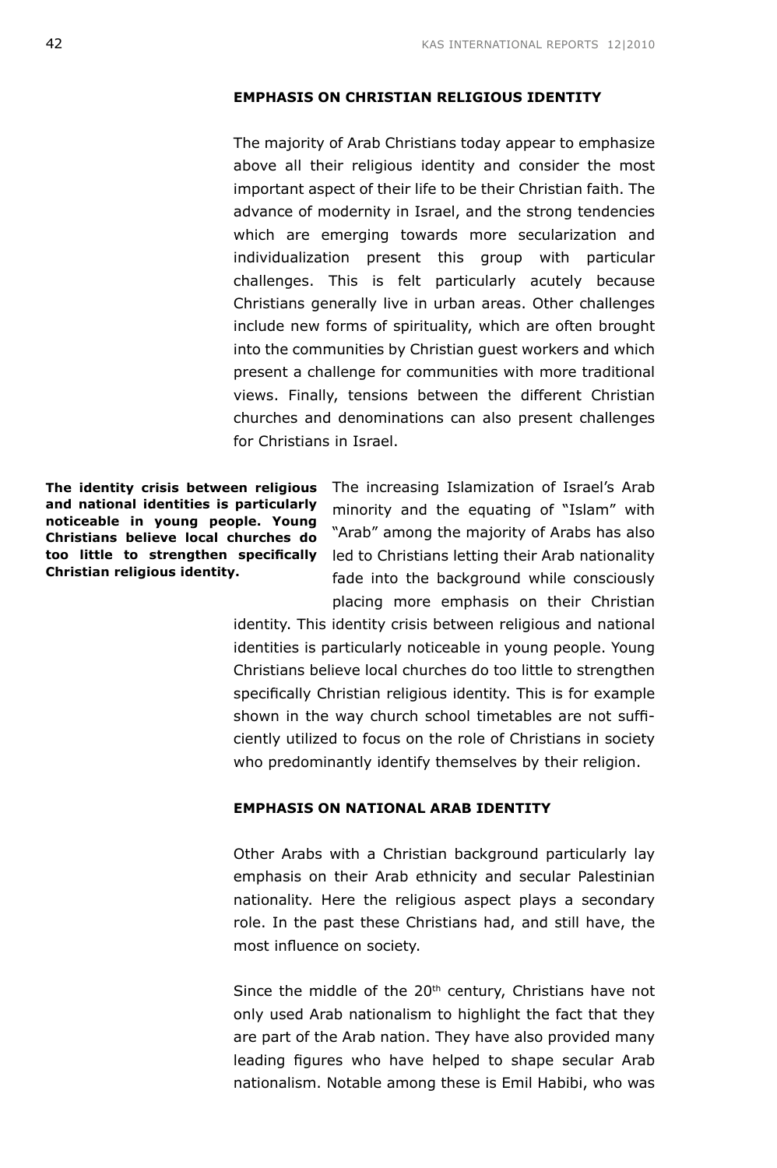## **EMPHASIS ON CHRISTIAN RELIGIOUS IDENTITY**

The majority of Arab Christians today appear to emphasize above all their religious identity and consider the most important aspect of their life to be their Christian faith. The advance of modernity in Israel, and the strong tendencies which are emerging towards more secularization and individualization present this group with particular challenges. This is felt particularly acutely because Christians generally live in urban areas. Other challenges include new forms of spirituality, which are often brought into the communities by Christian guest workers and which present a challenge for communities with more traditional views. Finally, tensions between the different Christian churches and denominations can also present challenges for Christians in Israel.

**and national identities is particularly noticeable in young people. Young Christians believe local churches do too little to strengthen specifically Christian religious identity.**

**The identity crisis between religious** The increasing Islamization of Israel's Arab minority and the equating of "Islam" with "Arab" among the majority of Arabs has also led to Christians letting their Arab nationality fade into the background while consciously placing more emphasis on their Christian

> identity. This identity crisis between religious and national identities is particularly noticeable in young people. Young Christians believe local churches do too little to strengthen specifically Christian religious identity. This is for example shown in the way church school timetables are not sufficiently utilized to focus on the role of Christians in society who predominantly identify themselves by their religion.

## **EMPHASIS ON NATIONAL ARAB IDENTITY**

Other Arabs with a Christian background particularly lay emphasis on their Arab ethnicity and secular Palestinian nationality. Here the religious aspect plays a secondary role. In the past these Christians had, and still have, the most influence on society.

Since the middle of the  $20<sup>th</sup>$  century, Christians have not only used Arab nationalism to highlight the fact that they are part of the Arab nation. They have also provided many leading figures who have helped to shape secular Arab nationalism. Notable among these is Emil Habibi, who was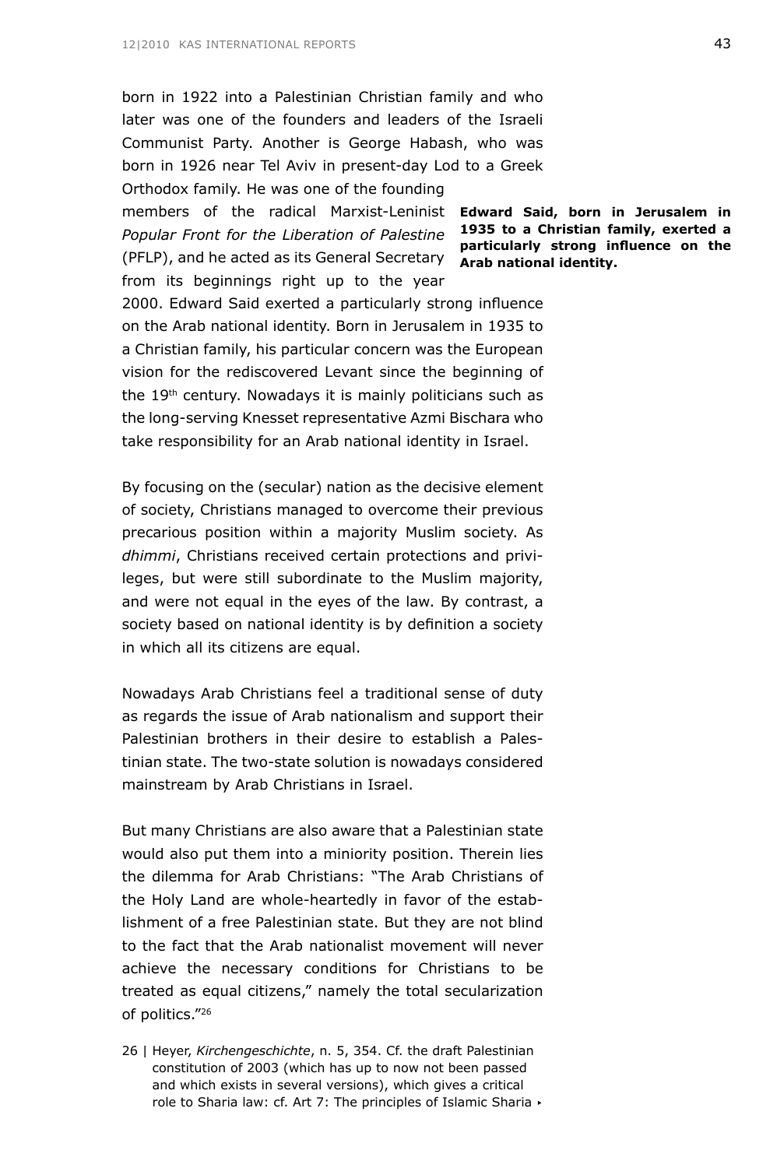born in 1922 into a Palestinian Christian family and who later was one of the founders and leaders of the Israeli Communist Party. Another is George Habash, who was born in 1926 near Tel Aviv in present-day Lod to a Greek Orthodox family. He was one of the founding

members of the radical Marxist-Leninist **Edward Said, born in Jerusalem in 1935 to a Christian family, exerted a**  *Popular Front for the Liberation of Palestine* (PFLP), and he acted as its General Secretary **Arab national identity.** from its beginnings right up to the year

**particularly strong influence on the** 

2000. Edward Said exerted a particularly strong influence on the Arab national identity. Born in Jerusalem in 1935 to a Christian family, his particular concern was the European vision for the rediscovered Levant since the beginning of the 19<sup>th</sup> century. Nowadays it is mainly politicians such as the long-serving Knesset representative Azmi Bischara who take responsibility for an Arab national identity in Israel.

By focusing on the (secular) nation as the decisive element of society, Christians managed to overcome their previous precarious position within a majority Muslim society. As *dhimmi*, Christians received certain protections and privileges, but were still subordinate to the Muslim majority, and were not equal in the eyes of the law. By contrast, a society based on national identity is by definition a society in which all its citizens are equal.

Nowadays Arab Christians feel a traditional sense of duty as regards the issue of Arab nationalism and support their Palestinian brothers in their desire to establish a Palestinian state. The two-state solution is nowadays considered mainstream by Arab Christians in Israel.

But many Christians are also aware that a Palestinian state would also put them into a miniority position. Therein lies the dilemma for Arab Christians: "The Arab Christians of the Holy Land are whole-heartedly in favor of the establishment of a free Palestinian state. But they are not blind to the fact that the Arab nationalist movement will never achieve the necessary conditions for Christians to be treated as equal citizens," namely the total secularization of politics."26

26 | Heyer, *Kirchengeschichte*, n. 5, 354. Cf. the draft Palestinian constitution of 2003 (which has up to now not been passed and which exists in several versions), which gives a critical role to Sharia law: cf. Art 7: The principles of Islamic Sharia ▸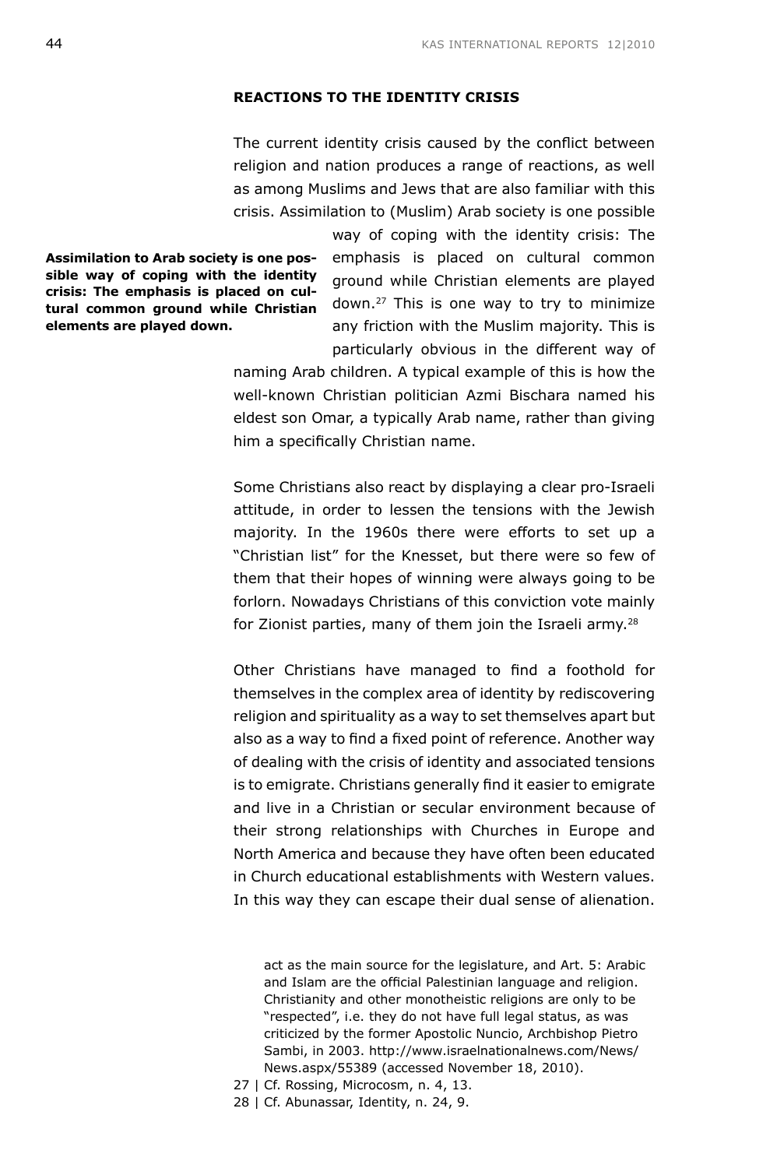### **REACTIONS TO THE IDENTITY CRISIS**

The current identity crisis caused by the conflict between religion and nation produces a range of reactions, as well as among Muslims and Jews that are also familiar with this crisis. Assimilation to (Muslim) Arab society is one possible

**Assimilation to Arab society is one possible way of coping with the identity crisis: The emphasis is placed on cultural common ground while Christian elements are played down.**

way of coping with the identity crisis: The emphasis is placed on cultural common ground while Christian elements are played down.27 This is one way to try to minimize any friction with the Muslim majority. This is particularly obvious in the different way of

naming Arab children. A typical example of this is how the well-known Christian politician Azmi Bischara named his eldest son Omar, a typically Arab name, rather than giving him a specifically Christian name.

Some Christians also react by displaying a clear pro-Israeli attitude, in order to lessen the tensions with the Jewish majority. In the 1960s there were efforts to set up a "Christian list" for the Knesset, but there were so few of them that their hopes of winning were always going to be forlorn. Nowadays Christians of this conviction vote mainly for Zionist parties, many of them join the Israeli army.<sup>28</sup>

Other Christians have managed to find a foothold for themselves in the complex area of identity by rediscovering religion and spirituality as a way to set themselves apart but also as a way to find a fixed point of reference. Another way of dealing with the crisis of identity and associated tensions is to emigrate. Christians generally find it easier to emigrate and live in a Christian or secular environment because of their strong relationships with Churches in Europe and North America and because they have often been educated in Church educational establishments with Western values. In this way they can escape their dual sense of alienation.

act as the main source for the legislature, and Art. 5: Arabic and Islam are the official Palestinian language and religion. Christianity and other monotheistic religions are only to be "respected", i.e. they do not have full legal status, as was criticized by the former Apostolic Nuncio, Archbishop Pietro Sambi, in 2003. http://www.israelnationalnews.com/News/ News.aspx/55389 (accessed November 18, 2010).

- 27 | Cf. Rossing, Microcosm, n. 4, 13.
- 28 | Cf. Abunassar, Identity, n. 24, 9.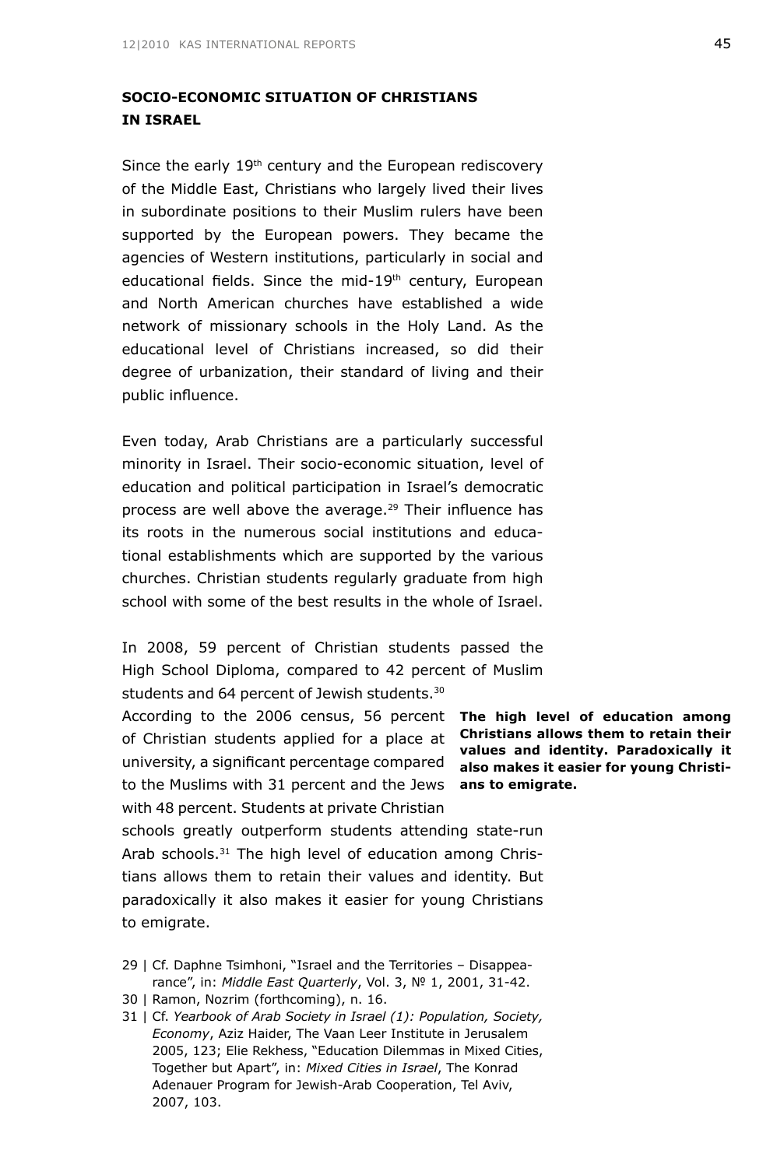# **SOCIO-ECONOMIC SITUATION OF CHRISTIANS IN ISRAEL**

Since the early 19th century and the European rediscovery of the Middle East, Christians who largely lived their lives in subordinate positions to their Muslim rulers have been supported by the European powers. They became the agencies of Western institutions, particularly in social and educational fields. Since the mid-19<sup>th</sup> century, European and North American churches have established a wide network of missionary schools in the Holy Land. As the educational level of Christians increased, so did their degree of urbanization, their standard of living and their public influence.

Even today, Arab Christians are a particularly successful minority in Israel. Their socio-economic situation, level of education and political participation in Israel's democratic process are well above the average.29 Their influence has its roots in the numerous social institutions and educational establishments which are supported by the various churches. Christian students regularly graduate from high school with some of the best results in the whole of Israel.

In 2008, 59 percent of Christian students passed the High School Diploma, compared to 42 percent of Muslim students and 64 percent of Jewish students.<sup>30</sup>

According to the 2006 census, 56 percent The high level of education among of Christian students applied for a place at **Christians allows them to retain their** university, a significant percentage compared also makes it easier for young Christito the Muslims with 31 percent and the Jews **ans to emigrate.** with 48 percent. Students at private Christian

schools greatly outperform students attending state-run Arab schools.<sup>31</sup> The high level of education among Christians allows them to retain their values and identity. But paradoxically it also makes it easier for young Christians to emigrate.

- 29 | Cf. Daphne Tsimhoni, "Israel and the Territories Disappearance", in: *Middle East Quarterly*, Vol. 3, № 1, 2001, 31-42.
- 30 | Ramon, Nozrim (forthcoming), n. 16.
- 31 | Cf. *Yearbook of Arab Society in Israel (1): Population, Society, Economy*, Aziz Haider, The Vaan Leer Institute in Jerusalem 2005, 123; Elie Rekhess, "Education Dilemmas in Mixed Cities, Together but Apart", in: *Mixed Cities in Israel*, The Konrad Adenauer Program for Jewish-Arab Cooperation, Tel Aviv, 2007, 103.

**values and identity. Paradoxically it**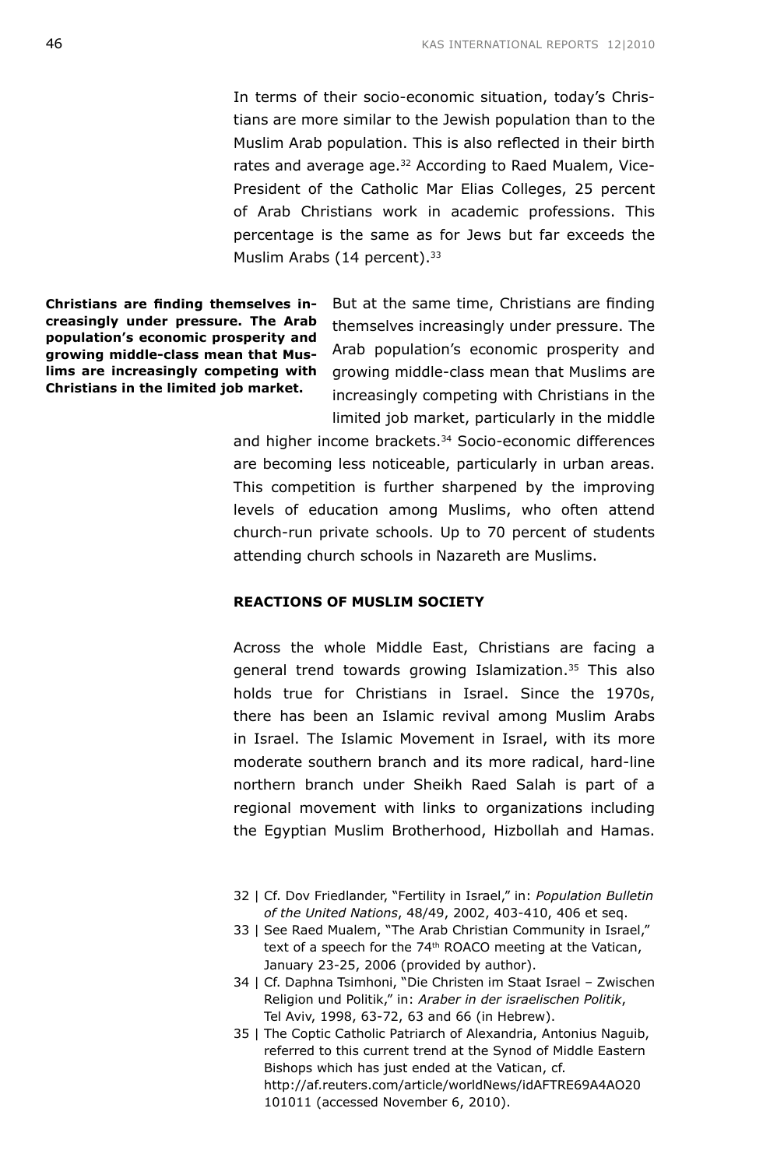In terms of their socio-economic situation, today's Christians are more similar to the Jewish population than to the Muslim Arab population. This is also reflected in their birth rates and average age.<sup>32</sup> According to Raed Mualem, Vice-President of the Catholic Mar Elias Colleges, 25 percent of Arab Christians work in academic professions. This percentage is the same as for Jews but far exceeds the Muslim Arabs (14 percent).<sup>33</sup>

**Christians are finding themselves increasingly under pressure. The Arab population's economic prosperity and growing middle-class mean that Muslims are increasingly competing with Christians in the limited job market.**

But at the same time, Christians are finding themselves increasingly under pressure. The Arab population's economic prosperity and growing middle-class mean that Muslims are increasingly competing with Christians in the limited job market, particularly in the middle

and higher income brackets.<sup>34</sup> Socio-economic differences are becoming less noticeable, particularly in urban areas. This competition is further sharpened by the improving levels of education among Muslims, who often attend church-run private schools. Up to 70 percent of students attending church schools in Nazareth are Muslims.

## **REACTIONS OF MUSLIM SOCIETY**

Across the whole Middle East, Christians are facing a general trend towards growing Islamization.35 This also holds true for Christians in Israel. Since the 1970s, there has been an Islamic revival among Muslim Arabs in Israel. The Islamic Movement in Israel, with its more moderate southern branch and its more radical, hard-line northern branch under Sheikh Raed Salah is part of a regional movement with links to organizations including the Egyptian Muslim Brotherhood, Hizbollah and Hamas.

- 32 | Cf. Dov Friedlander, "Fertility in Israel," in: *Population Bulletin of the United Nations*, 48/49, 2002, 403-410, 406 et seq.
- 33 | See Raed Mualem, "The Arab Christian Community in Israel," text of a speech for the 74<sup>th</sup> ROACO meeting at the Vatican, January 23-25, 2006 (provided by author).
- 34 | Cf. Daphna Tsimhoni, "Die Christen im Staat Israel Zwischen Religion und Politik," in: *Araber in der israelischen Politik*, Tel Aviv, 1998, 63-72, 63 and 66 (in Hebrew).
- 35 | The Coptic Catholic Patriarch of Alexandria, Antonius Naguib, referred to this current trend at the Synod of Middle Eastern Bishops which has just ended at the Vatican, cf. http://af.reuters.com/article/worldNews/idAFTRE69A4AO20 101011 (accessed November 6, 2010).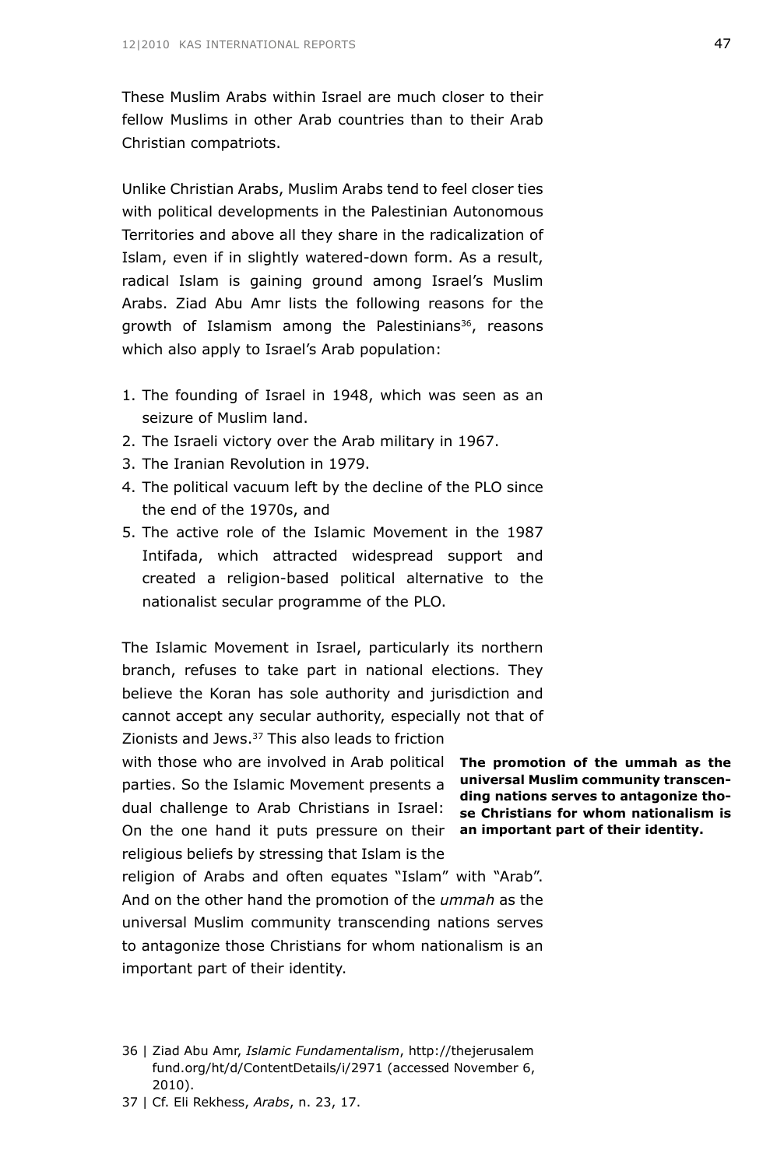These Muslim Arabs within Israel are much closer to their fellow Muslims in other Arab countries than to their Arab Christian compatriots.

Unlike Christian Arabs, Muslim Arabs tend to feel closer ties with political developments in the Palestinian Autonomous Territories and above all they share in the radicalization of Islam, even if in slightly watered-down form. As a result, radical Islam is gaining ground among Israel's Muslim Arabs. Ziad Abu Amr lists the following reasons for the growth of Islamism among the Palestinians<sup>36</sup>, reasons which also apply to Israel's Arab population:

- 1. The founding of Israel in 1948, which was seen as an seizure of Muslim land.
- 2. The Israeli victory over the Arab military in 1967.
- 3. The Iranian Revolution in 1979.
- 4. The political vacuum left by the decline of the PLO since the end of the 1970s, and
- 5. The active role of the Islamic Movement in the 1987 Intifada, which attracted widespread support and created a religion-based political alternative to the nationalist secular programme of the PLO.

The Islamic Movement in Israel, particularly its northern branch, refuses to take part in national elections. They believe the Koran has sole authority and jurisdiction and cannot accept any secular authority, especially not that of Zionists and Jews.37 This also leads to friction

with those who are involved in Arab political **The promotion of the ummah as the** On the one hand it puts pressure on their **an important part of their identity.** parties. So the Islamic Movement presents a dual challenge to Arab Christians in Israel: religious beliefs by stressing that Islam is the

**universal Muslim community transcending nations serves to antagonize those Christians for whom nationalism is** 

religion of Arabs and often equates "Islam" with "Arab". And on the other hand the promotion of the *ummah* as the universal Muslim community transcending nations serves to antagonize those Christians for whom nationalism is an important part of their identity.

- 36 | Ziad Abu Amr, *Islamic Fundamentalism*, http://thejerusalem fund.org/ht/d/ContentDetails/i/2971 (accessed November 6, 2010).
- 37 | Cf. Eli Rekhess, *Arabs*, n. 23, 17.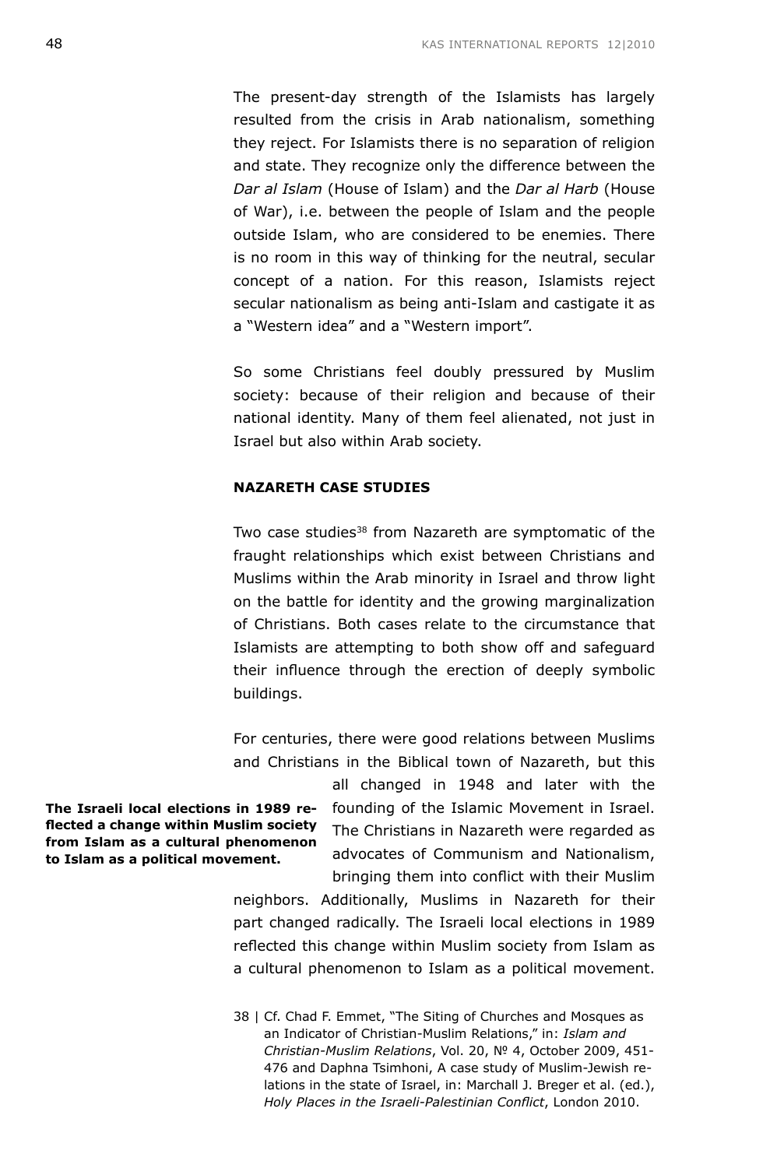The present-day strength of the Islamists has largely resulted from the crisis in Arab nationalism, something they reject. For Islamists there is no separation of religion and state. They recognize only the difference between the *Dar al Islam* (House of Islam) and the *Dar al Harb* (House of War), i.e. between the people of Islam and the people outside Islam, who are considered to be enemies. There is no room in this way of thinking for the neutral, secular concept of a nation. For this reason, Islamists reject secular nationalism as being anti-Islam and castigate it as a "Western idea" and a "Western import".

So some Christians feel doubly pressured by Muslim society: because of their religion and because of their national identity. Many of them feel alienated, not just in Israel but also within Arab society.

# **NAZARETH CASE STUDIES**

Two case studies<sup>38</sup> from Nazareth are symptomatic of the fraught relationships which exist between Christians and Muslims within the Arab minority in Israel and throw light on the battle for identity and the growing marginalization of Christians. Both cases relate to the circumstance that Islamists are attempting to both show off and safeguard their influence through the erection of deeply symbolic buildings.

For centuries, there were good relations between Muslims and Christians in the Biblical town of Nazareth, but this

> all changed in 1948 and later with the founding of the Islamic Movement in Israel. The Christians in Nazareth were regarded as advocates of Communism and Nationalism, bringing them into conflict with their Muslim

neighbors. Additionally, Muslims in Nazareth for their part changed radically. The Israeli local elections in 1989 reflected this change within Muslim society from Islam as a cultural phenomenon to Islam as a political movement.

38 | Cf. Chad F. Emmet, "The Siting of Churches and Mosques as an Indicator of Christian-Muslim Relations," in: *Islam and Christian-Muslim Relations*, Vol. 20, № 4, October 2009, 451- 476 and Daphna Tsimhoni, A case study of Muslim-Jewish relations in the state of Israel, in: Marchall J. Breger et al. (ed.), *Holy Places in the Israeli-Palestinian Conflict*, London 2010.

**The Israeli local elections in 1989 reflected a change within Muslim society from Islam as a cultural phenomenon to Islam as a political movement.**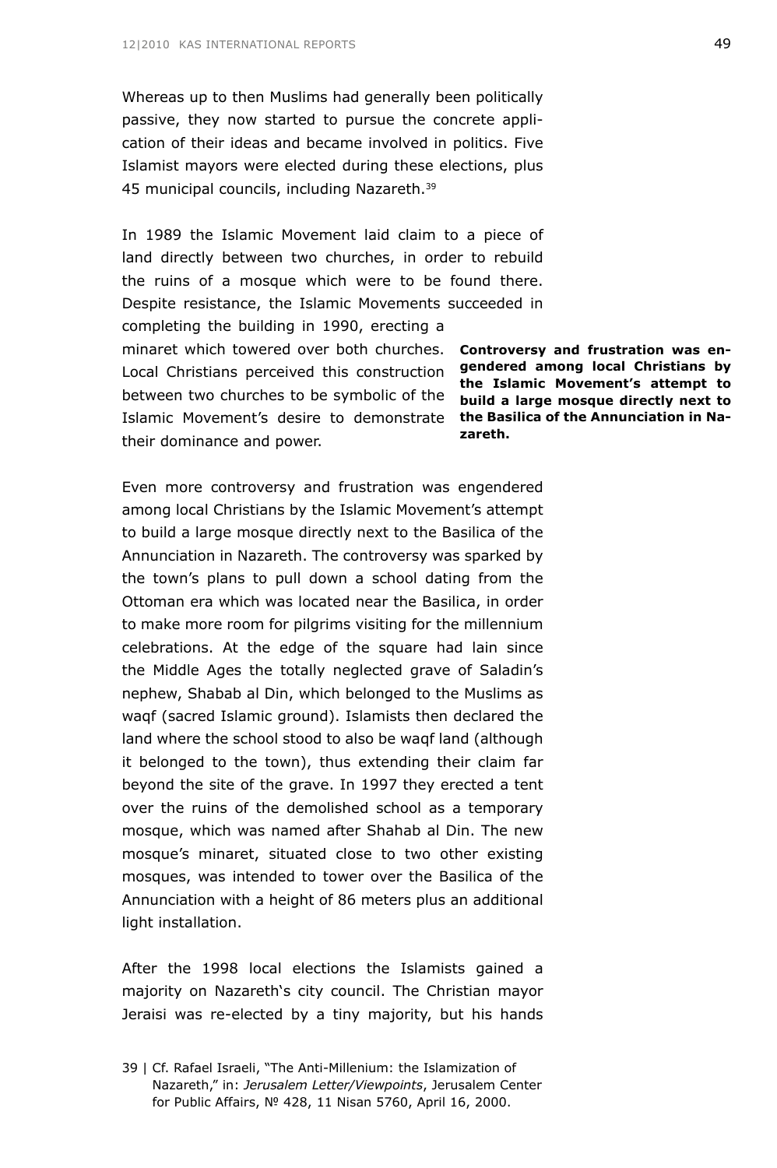Whereas up to then Muslims had generally been politically passive, they now started to pursue the concrete application of their ideas and became involved in politics. Five Islamist mayors were elected during these elections, plus 45 municipal councils, including Nazareth.39

minaret which towered over both churches. **Controversy and frustration was en-**Local Christians perceived this construction **gendered among local Christians by** between two churches to be symbolic of the **build a large mosque directly next to** Islamic Movement's desire to demonstrate **the Basilica of the Annunciation in Nazareth.** In 1989 the Islamic Movement laid claim to a piece of land directly between two churches, in order to rebuild the ruins of a mosque which were to be found there. Despite resistance, the Islamic Movements succeeded in completing the building in 1990, erecting a their dominance and power.

**the Islamic Movement's attempt to** 

Even more controversy and frustration was engendered among local Christians by the Islamic Movement's attempt to build a large mosque directly next to the Basilica of the Annunciation in Nazareth. The controversy was sparked by the town's plans to pull down a school dating from the Ottoman era which was located near the Basilica, in order to make more room for pilgrims visiting for the millennium celebrations. At the edge of the square had lain since the Middle Ages the totally neglected grave of Saladin's nephew, Shabab al Din, which belonged to the Muslims as waqf (sacred Islamic ground). Islamists then declared the land where the school stood to also be waqf land (although it belonged to the town), thus extending their claim far beyond the site of the grave. In 1997 they erected a tent over the ruins of the demolished school as a temporary mosque, which was named after Shahab al Din. The new mosque's minaret, situated close to two other existing mosques, was intended to tower over the Basilica of the Annunciation with a height of 86 meters plus an additional light installation.

After the 1998 local elections the Islamists gained a majority on Nazareth's city council. The Christian mayor Jeraisi was re-elected by a tiny majority, but his hands

<sup>39 |</sup> Cf. Rafael Israeli, "The Anti-Millenium: the Islamization of Nazareth," in: *Jerusalem Letter/Viewpoints*, Jerusalem Center for Public Affairs, № 428, 11 Nisan 5760, April 16, 2000.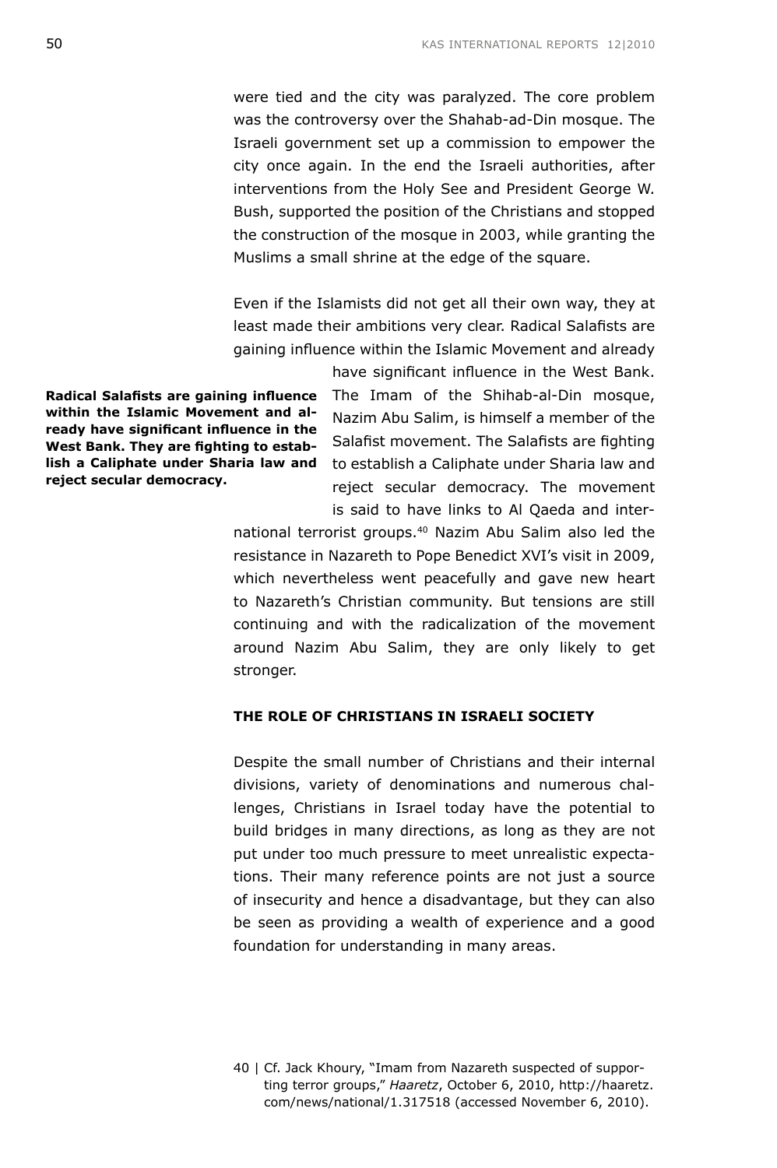were tied and the city was paralyzed. The core problem was the controversy over the Shahab-ad-Din mosque. The Israeli government set up a commission to empower the city once again. In the end the Israeli authorities, after interventions from the Holy See and President George W. Bush, supported the position of the Christians and stopped the construction of the mosque in 2003, while granting the Muslims a small shrine at the edge of the square.

Even if the Islamists did not get all their own way, they at least made their ambitions very clear. Radical Salafists are gaining influence within the Islamic Movement and already have significant influence in the West Bank.

**Radical Salafists are gaining influence within the Islamic Movement and already have significant influence in the West Bank. They are fighting to establish a Caliphate under Sharia law and reject secular democracy.**

The Imam of the Shihab-al-Din mosque, Nazim Abu Salim, is himself a member of the Salafist movement. The Salafists are fighting to establish a Caliphate under Sharia law and reject secular democracy. The movement is said to have links to Al Qaeda and inter-

national terrorist groups.40 Nazim Abu Salim also led the resistance in Nazareth to Pope Benedict XVI's visit in 2009, which nevertheless went peacefully and gave new heart to Nazareth's Christian community. But tensions are still continuing and with the radicalization of the movement around Nazim Abu Salim, they are only likely to get stronger.

# **THE ROLE OF CHRISTIANS IN ISRAELI SOCIETY**

Despite the small number of Christians and their internal divisions, variety of denominations and numerous challenges, Christians in Israel today have the potential to build bridges in many directions, as long as they are not put under too much pressure to meet unrealistic expectations. Their many reference points are not just a source of insecurity and hence a disadvantage, but they can also be seen as providing a wealth of experience and a good foundation for understanding in many areas.

<sup>40 |</sup> Cf. Jack Khoury, "Imam from Nazareth suspected of supporting terror groups," *Haaretz*, October 6, 2010, http://haaretz. com/news/national/1.317518 (accessed November 6, 2010).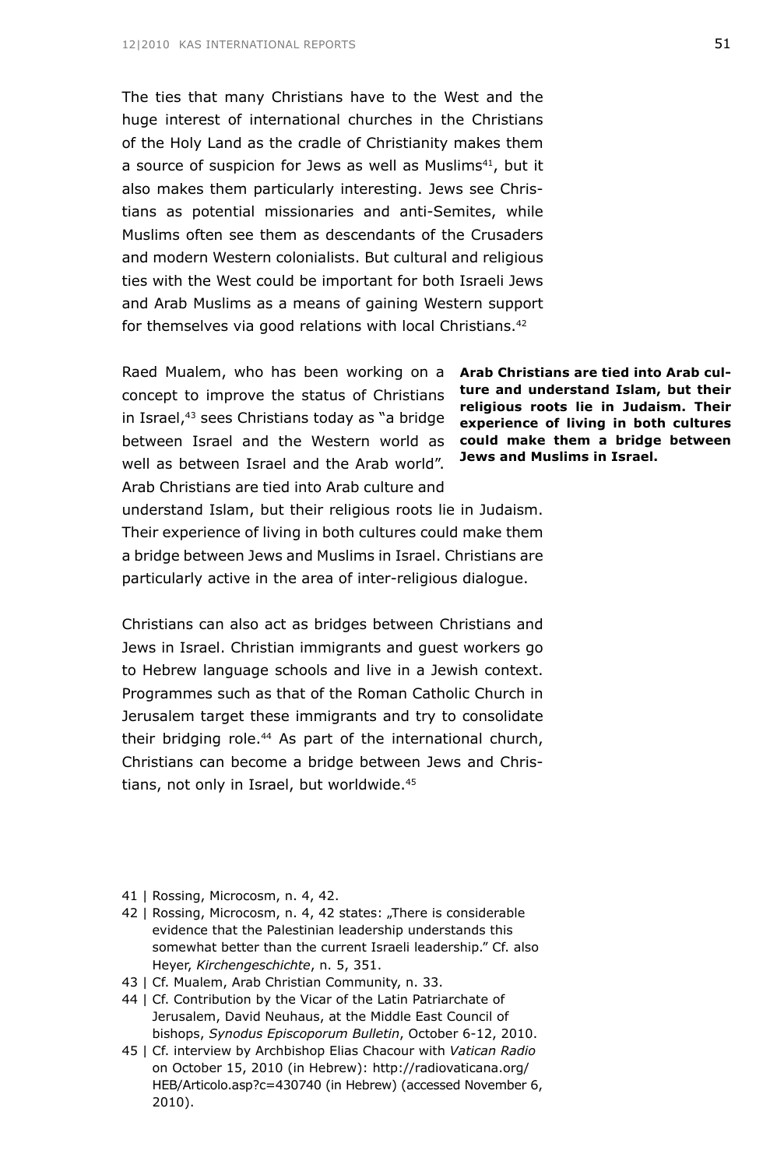The ties that many Christians have to the West and the huge interest of international churches in the Christians of the Holy Land as the cradle of Christianity makes them a source of suspicion for Jews as well as Muslims<sup>41</sup>, but it also makes them particularly interesting. Jews see Christians as potential missionaries and anti-Semites, while Muslims often see them as descendants of the Crusaders and modern Western colonialists. But cultural and religious ties with the West could be important for both Israeli Jews and Arab Muslims as a means of gaining Western support for themselves via good relations with local Christians.<sup>42</sup>

Raed Mualem, who has been working on a concept to improve the status of Christians in Israel,43 sees Christians today as "a bridge between Israel and the Western world as well as between Israel and the Arab world". Arab Christians are tied into Arab culture and

**Arab Christians are tied into Arab culture and understand Islam, but their religious roots lie in Judaism. Their experience of living in both cultures could make them a bridge between Jews and Muslims in Israel.**

understand Islam, but their religious roots lie in Judaism. Their experience of living in both cultures could make them a bridge between Jews and Muslims in Israel. Christians are particularly active in the area of inter-religious dialogue.

Christians can also act as bridges between Christians and Jews in Israel. Christian immigrants and guest workers go to Hebrew language schools and live in a Jewish context. Programmes such as that of the Roman Catholic Church in Jerusalem target these immigrants and try to consolidate their bridging role.<sup>44</sup> As part of the international church, Christians can become a bridge between Jews and Christians, not only in Israel, but worldwide.<sup>45</sup>

- 41 | Rossing, Microcosm, n. 4, 42.
- 42 | Rossing, Microcosm, n. 4, 42 states: "There is considerable evidence that the Palestinian leadership understands this somewhat better than the current Israeli leadership." Cf. also Heyer, *Kirchengeschichte*, n. 5, 351.
- 43 | Cf. Mualem, Arab Christian Community, n. 33.
- 44 | Cf. Contribution by the Vicar of the Latin Patriarchate of Jerusalem, David Neuhaus, at the Middle East Council of bishops, *Synodus Episcoporum Bulletin*, October 6-12, 2010.
- 45 | Cf. interview by Archbishop Elias Chacour with *Vatican Radio* on October 15, 2010 (in Hebrew): http://radiovaticana.org/ HEB/Articolo.asp?c=430740 (in Hebrew) (accessed November 6, 2010).